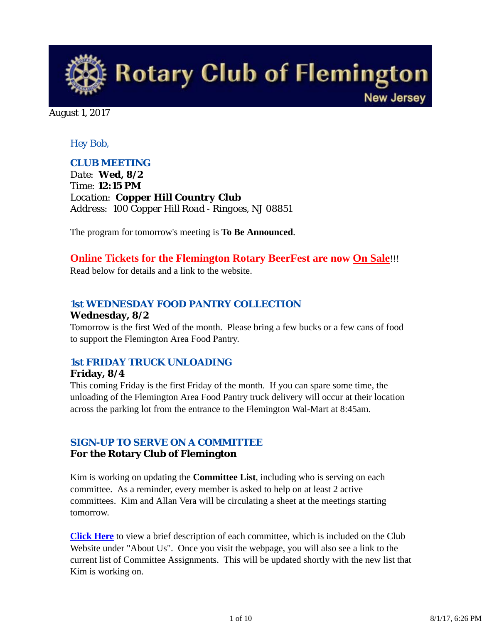

August 1, 2017

### *Hey Bob,*

### *CLUB MEETING*

*Date: Wed, 8/2 Time: 12:15 PM Location: Copper Hill Country Club Address: 100 Copper Hill Road - Ringoes, NJ 08851*

The program for tomorrow's meeting is **To Be Announced**.

## **Online Tickets for the Flemington Rotary BeerFest are now On Sale**!!!

Read below for details and a link to the website.

## *1st WEDNESDAY FOOD PANTRY COLLECTION*

### **Wednesday, 8/2**

Tomorrow is the first Wed of the month. Please bring a few bucks or a few cans of food to support the Flemington Area Food Pantry.

# *1st FRIDAY TRUCK UNLOADING*

#### **Friday, 8/4**

This coming Friday is the first Friday of the month. If you can spare some time, the unloading of the Flemington Area Food Pantry truck delivery will occur at their location across the parking lot from the entrance to the Flemington Wal-Mart at 8:45am.

## *SIGN-UP TO SERVE ON A COMMITTEE*

### **For the Rotary Club of Flemington**

Kim is working on updating the **Committee List**, including who is serving on each committee. As a reminder, every member is asked to help on at least 2 active committees. Kim and Allan Vera will be circulating a sheet at the meetings starting tomorrow.

**Click Here** to view a brief description of each committee, which is included on the Club Website under "About Us". Once you visit the webpage, you will also see a link to the current list of Committee Assignments. This will be updated shortly with the new list that Kim is working on.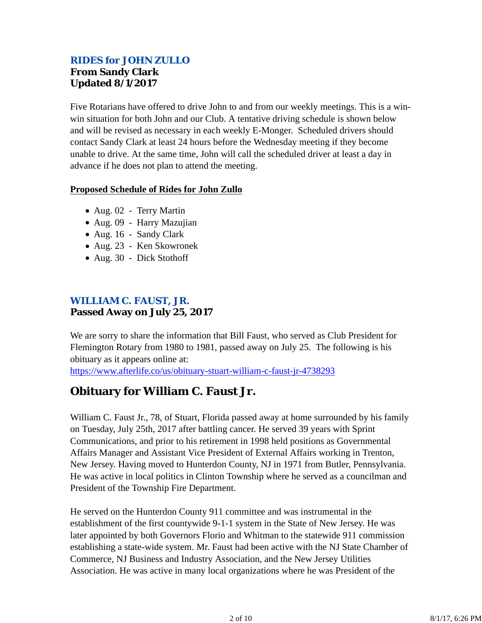## *RIDES for JOHN ZULLO* **From Sandy Clark Updated 8/1/2017**

Five Rotarians have offered to drive John to and from our weekly meetings. This is a winwin situation for both John and our Club. A tentative driving schedule is shown below and will be revised as necessary in each weekly E-Monger. Scheduled drivers should contact Sandy Clark at least 24 hours before the Wednesday meeting if they become unable to drive. At the same time, John will call the scheduled driver at least a day in advance if he does not plan to attend the meeting.

#### **Proposed Schedule of Rides for John Zullo**

- Aug. 02 Terry Martin
- Aug. 09 Harry Mazujian
- Aug. 16 Sandy Clark
- Aug. 23 Ken Skowronek
- Aug. 30 Dick Stothoff

## *WILLIAM C. FAUST, JR.* **Passed Away on July 25, 2017**

We are sorry to share the information that Bill Faust, who served as Club President for Flemington Rotary from 1980 to 1981, passed away on July 25. The following is his obituary as it appears online at:

https://www.afterlife.co/us/obituary-stuart-william-c-faust-jr-4738293

# **Obituary for William C. Faust Jr.**

William C. Faust Jr., 78, of Stuart, Florida passed away at home surrounded by his family on Tuesday, July 25th, 2017 after battling cancer. He served 39 years with Sprint Communications, and prior to his retirement in 1998 held positions as Governmental Affairs Manager and Assistant Vice President of External Affairs working in Trenton, New Jersey. Having moved to Hunterdon County, NJ in 1971 from Butler, Pennsylvania. He was active in local politics in Clinton Township where he served as a councilman and President of the Township Fire Department.

He served on the Hunterdon County 911 committee and was instrumental in the establishment of the first countywide 9-1-1 system in the State of New Jersey. He was later appointed by both Governors Florio and Whitman to the statewide 911 commission establishing a state-wide system. Mr. Faust had been active with the NJ State Chamber of Commerce, NJ Business and Industry Association, and the New Jersey Utilities Association. He was active in many local organizations where he was President of the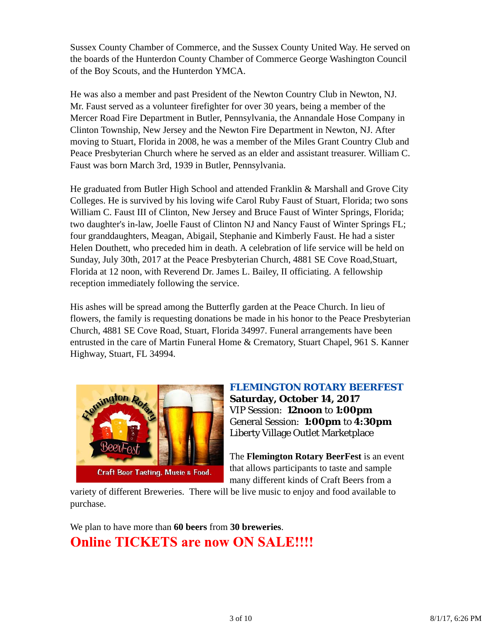Sussex County Chamber of Commerce, and the Sussex County United Way. He served on the boards of the Hunterdon County Chamber of Commerce George Washington Council of the Boy Scouts, and the Hunterdon YMCA.

He was also a member and past President of the Newton Country Club in Newton, NJ. Mr. Faust served as a volunteer firefighter for over 30 years, being a member of the Mercer Road Fire Department in Butler, Pennsylvania, the Annandale Hose Company in Clinton Township, New Jersey and the Newton Fire Department in Newton, NJ. After moving to Stuart, Florida in 2008, he was a member of the Miles Grant Country Club and Peace Presbyterian Church where he served as an elder and assistant treasurer. William C. Faust was born March 3rd, 1939 in Butler, Pennsylvania.

He graduated from Butler High School and attended Franklin & Marshall and Grove City Colleges. He is survived by his loving wife Carol Ruby Faust of Stuart, Florida; two sons William C. Faust III of Clinton, New Jersey and Bruce Faust of Winter Springs, Florida; two daughter's in-law, Joelle Faust of Clinton NJ and Nancy Faust of Winter Springs FL; four granddaughters, Meagan, Abigail, Stephanie and Kimberly Faust. He had a sister Helen Douthett, who preceded him in death. A celebration of life service will be held on Sunday, July 30th, 2017 at the Peace Presbyterian Church, 4881 SE Cove Road,Stuart, Florida at 12 noon, with Reverend Dr. James L. Bailey, II officiating. A fellowship reception immediately following the service.

His ashes will be spread among the Butterfly garden at the Peace Church. In lieu of flowers, the family is requesting donations be made in his honor to the Peace Presbyterian Church, 4881 SE Cove Road, Stuart, Florida 34997. Funeral arrangements have been entrusted in the care of Martin Funeral Home & Crematory, Stuart Chapel, 961 S. Kanner Highway, Stuart, FL 34994.



*FLEMINGTON ROTARY BEERFEST* **Saturday, October 14, 2017** VIP Session: **12noon** to **1:00pm** General Session: **1:00pm** to **4:30pm** Liberty Village Outlet Marketplace

The **Flemington Rotary BeerFest** is an event that allows participants to taste and sample many different kinds of Craft Beers from a

variety of different Breweries. There will be live music to enjoy and food available to purchase.

We plan to have more than **60 beers** from **30 breweries**. **Online TICKETS are now ON SALE!!!!**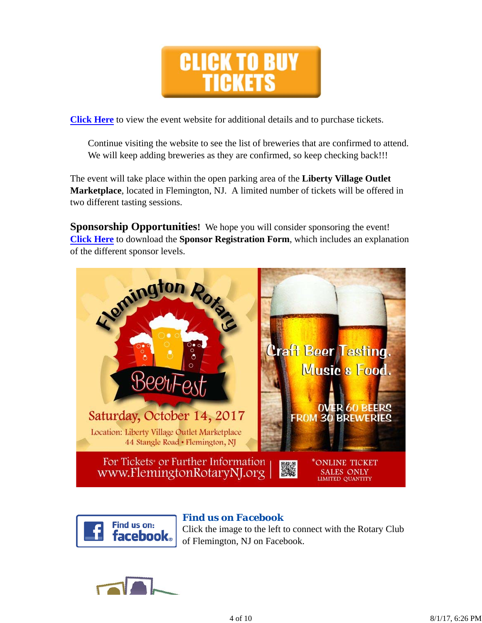

**Click Here** to view the event website for additional details and to purchase tickets.

Continue visiting the website to see the list of breweries that are confirmed to attend. We will keep adding breweries as they are confirmed, so keep checking back!!!

The event will take place within the open parking area of the **Liberty Village Outlet Marketplace**, located in Flemington, NJ. A limited number of tickets will be offered in two different tasting sessions.

**Sponsorship Opportunities!** We hope you will consider sponsoring the event! **Click Here** to download the **Sponsor Registration Form**, which includes an explanation of the different sponsor levels.





## *Find us on Facebook*

Click the image to the left to connect with the Rotary Club of Flemington, NJ on Facebook.

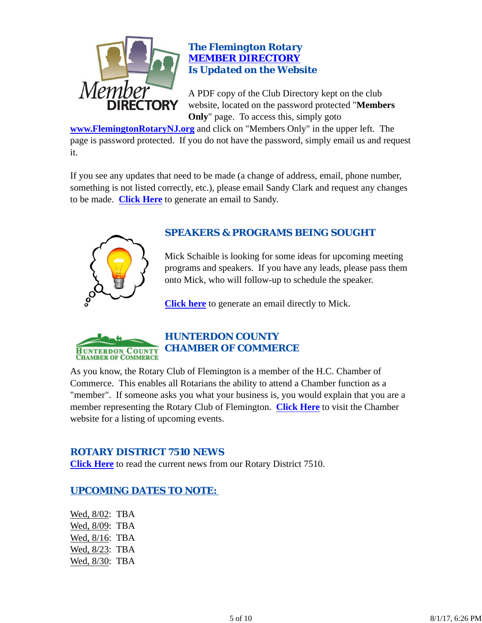

## *The Flemington Rotary MEMBER DIRECTORY Is Updated on the Website*

A PDF copy of the Club Directory kept on the club website, located on the password protected "**Members Only**" page. To access this, simply goto

**www.FlemingtonRotaryNJ.org** and click on "Members Only" in the upper left. The page is password protected. If you do not have the password, simply email us and request it.

If you see any updates that need to be made (a change of address, email, phone number, something is not listed correctly, etc.), please email Sandy Clark and request any changes to be made. **Click Here** to generate an email to Sandy.



## *SPEAKERS & PROGRAMS BEING SOUGHT*

Mick Schaible is looking for some ideas for upcoming meeting programs and speakers. If you have any leads, please pass them onto Mick, who will follow-up to schedule the speaker.

**Click here** to generate an email directly to Mick.



# *HUNTERDON COUNTY CHAMBER OF COMMERCE*

As you know, the Rotary Club of Flemington is a member of the H.C. Chamber of Commerce. This enables all Rotarians the ability to attend a Chamber function as a "member". If someone asks you what your business is, you would explain that you are a member representing the Rotary Club of Flemington. **Click Here** to visit the Chamber website for a listing of upcoming events.

## *ROTARY DISTRICT 7510 NEWS*

**Click Here** to read the current news from our Rotary District 7510.

## *UPCOMING DATES TO NOTE:*

Wed, 8/02: TBA Wed, 8/09: TBA Wed, 8/16: TBA Wed, 8/23: TBA Wed, 8/30: TBA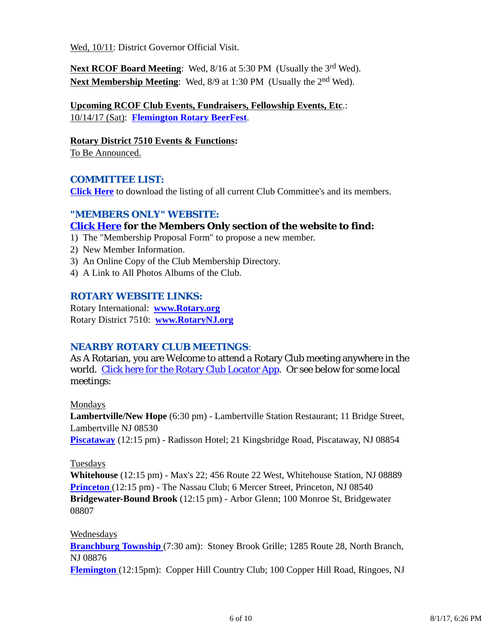Wed, 10/11: District Governor Official Visit.

Next RCOF Board Meeting: Wed, 8/16 at 5:30 PM (Usually the 3<sup>rd</sup> Wed). **Next Membership Meeting:** Wed, 8/9 at 1:30 PM (Usually the 2<sup>nd</sup> Wed).

**Upcoming RCOF Club Events, Fundraisers, Fellowship Events, Etc**.: 10/14/17 (Sat): **Flemington Rotary BeerFest**.

**Rotary District 7510 Events & Functions:** To Be Announced.

### *COMMITTEE LIST:*

**Click Here** to download the listing of all current Club Committee's and its members.

### *"MEMBERS ONLY" WEBSITE:*

## **Click Here for the Members Only section of the website to find:**

- 1) The "Membership Proposal Form" to propose a new member.
- 2) New Member Information.
- 3) An Online Copy of the Club Membership Directory.
- 4) A Link to All Photos Albums of the Club.

### *ROTARY WEBSITE LINKS:*

Rotary International: **www.Rotary.org** Rotary District 7510: **www.RotaryNJ.org**

## *NEARBY ROTARY CLUB MEETINGS:*

As A Rotarian, you are Welcome to attend a Rotary Club meeting anywhere in the world. Click here for the Rotary Club Locator App. Or see below for some local meetings:

Mondays

**Lambertville/New Hope** (6:30 pm) - Lambertville Station Restaurant; 11 Bridge Street, Lambertville NJ 08530 **Piscataway** (12:15 pm) - Radisson Hotel; 21 Kingsbridge Road, Piscataway, NJ 08854

### **Tuesdays**

**Whitehouse** (12:15 pm) - Max's 22; 456 Route 22 West, Whitehouse Station, NJ 08889 **Princeton** (12:15 pm) - The Nassau Club; 6 Mercer Street, Princeton, NJ 08540 **Bridgewater-Bound Brook** (12:15 pm) - Arbor Glenn; 100 Monroe St, Bridgewater 08807

### Wednesdays

**Branchburg Township** (7:30 am): Stoney Brook Grille; 1285 Route 28, North Branch, NJ 08876

**Flemington** (12:15pm): Copper Hill Country Club; 100 Copper Hill Road, Ringoes, NJ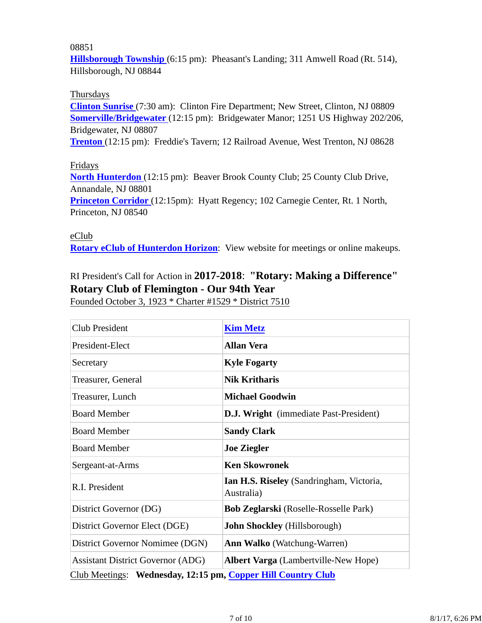#### 08851

**Hillsborough Township** (6:15 pm): Pheasant's Landing; 311 Amwell Road (Rt. 514), Hillsborough, NJ 08844

#### Thursdays

**Clinton Sunrise** (7:30 am): Clinton Fire Department; New Street, Clinton, NJ 08809 **Somerville/Bridgewater** (12:15 pm): Bridgewater Manor; 1251 US Highway 202/206, Bridgewater, NJ 08807

**Trenton** (12:15 pm): Freddie's Tavern; 12 Railroad Avenue, West Trenton, NJ 08628

#### Fridays

**North Hunterdon** (12:15 pm): Beaver Brook County Club; 25 County Club Drive, Annandale, NJ 08801 **Princeton Corridor** (12:15pm): Hyatt Regency; 102 Carnegie Center, Rt. 1 North,

Princeton, NJ 08540

#### eClub

**Rotary eClub of Hunterdon Horizon**: View website for meetings or online makeups.

## RI President's Call for Action in **2017-2018**: **"Rotary: Making a Difference" Rotary Club of Flemington - Our 94th Year**

Founded October 3, 1923 \* Charter #1529 \* District 7510

| <b>Club President</b>                                        | <b>Kim Metz</b>                                        |  |  |
|--------------------------------------------------------------|--------------------------------------------------------|--|--|
| President-Elect                                              | <b>Allan Vera</b>                                      |  |  |
| Secretary                                                    | <b>Kyle Fogarty</b>                                    |  |  |
| Treasurer, General                                           | <b>Nik Kritharis</b>                                   |  |  |
| Treasurer, Lunch                                             | <b>Michael Goodwin</b>                                 |  |  |
| <b>Board Member</b>                                          | <b>D.J. Wright</b> (immediate Past-President)          |  |  |
| <b>Board Member</b>                                          | <b>Sandy Clark</b>                                     |  |  |
| <b>Board Member</b>                                          | <b>Joe Ziegler</b>                                     |  |  |
| Sergeant-at-Arms                                             | <b>Ken Skowronek</b>                                   |  |  |
| R.I. President                                               | Ian H.S. Riseley (Sandringham, Victoria,<br>Australia) |  |  |
| District Governor (DG)                                       | <b>Bob Zeglarski</b> (Roselle-Rosselle Park)           |  |  |
| District Governor Elect (DGE)                                | <b>John Shockley</b> (Hillsborough)                    |  |  |
| District Governor Nomimee (DGN)                              | <b>Ann Walko</b> (Watchung-Warren)                     |  |  |
| <b>Assistant District Governor (ADG)</b>                     | <b>Albert Varga</b> (Lambertville-New Hope)            |  |  |
| Club Meetings: Wednesday, 12:15 pm, Copper Hill Country Club |                                                        |  |  |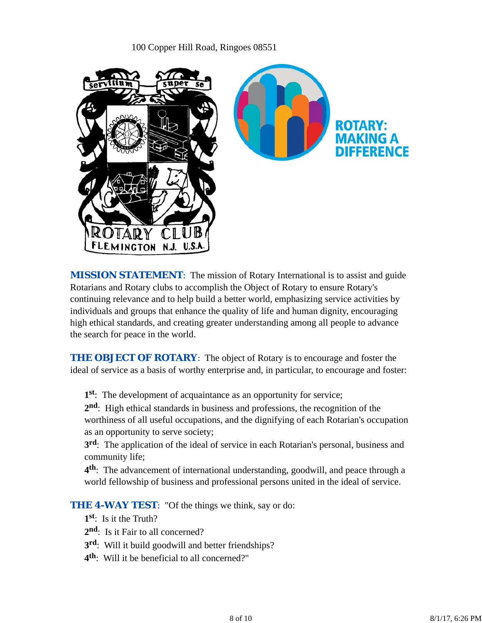### 100 Copper Hill Road, Ringoes 08551



*MISSION STATEMENT*: The mission of Rotary International is to assist and guide Rotarians and Rotary clubs to accomplish the Object of Rotary to ensure Rotary's continuing relevance and to help build a better world, emphasizing service activities by individuals and groups that enhance the quality of life and human dignity, encouraging high ethical standards, and creating greater understanding among all people to advance the search for peace in the world.

**THE OBJECT OF ROTARY:** The object of Rotary is to encourage and foster the ideal of service as a basis of worthy enterprise and, in particular, to encourage and foster:

**1st**: The development of acquaintance as an opportunity for service;

**2nd**: High ethical standards in business and professions, the recognition of the worthiness of all useful occupations, and the dignifying of each Rotarian's occupation as an opportunity to serve society;

**3rd**: The application of the ideal of service in each Rotarian's personal, business and community life;

**4th**: The advancement of international understanding, goodwill, and peace through a world fellowship of business and professional persons united in the ideal of service.

**THE 4-WAY TEST:** "Of the things we think, say or do:

**1st**: Is it the Truth?

- 2<sup>nd</sup>: Is it Fair to all concerned?
- **3rd**: Will it build goodwill and better friendships?
- **4th**: Will it be beneficial to all concerned?"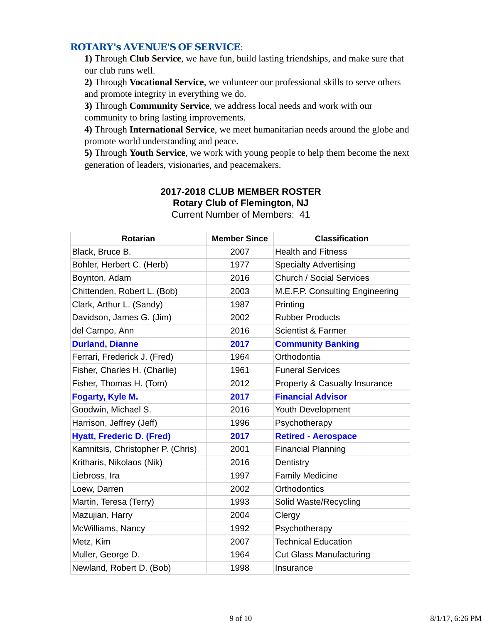### *ROTARY's AVENUE'S OF SERVICE*:

**1)** Through **Club Service**, we have fun, build lasting friendships, and make sure that our club runs well.

**2)** Through **Vocational Service**, we volunteer our professional skills to serve others and promote integrity in everything we do.

**3)** Through **Community Service**, we address local needs and work with our community to bring lasting improvements.

**4)** Through **International Service**, we meet humanitarian needs around the globe and promote world understanding and peace.

**5)** Through **Youth Service**, we work with young people to help them become the next generation of leaders, visionaries, and peacemakers.

| <b>Rotarian</b>                   | <b>Member Since</b> | <b>Classification</b>                    |
|-----------------------------------|---------------------|------------------------------------------|
| Black, Bruce B.                   | 2007                | <b>Health and Fitness</b>                |
| Bohler, Herbert C. (Herb)         | 1977                | <b>Specialty Advertising</b>             |
| Boynton, Adam                     | 2016                | <b>Church / Social Services</b>          |
| Chittenden, Robert L. (Bob)       | 2003                | M.E.F.P. Consulting Engineering          |
| Clark, Arthur L. (Sandy)          | 1987                | Printing                                 |
| Davidson, James G. (Jim)          | 2002                | <b>Rubber Products</b>                   |
| del Campo, Ann                    | 2016                | <b>Scientist &amp; Farmer</b>            |
| <b>Durland, Dianne</b>            | 2017                | <b>Community Banking</b>                 |
| Ferrari, Frederick J. (Fred)      | 1964                | Orthodontia                              |
| Fisher, Charles H. (Charlie)      | 1961                | <b>Funeral Services</b>                  |
| Fisher, Thomas H. (Tom)           | 2012                | <b>Property &amp; Casualty Insurance</b> |
| Fogarty, Kyle M.                  | 2017                | <b>Financial Advisor</b>                 |
| Goodwin, Michael S.               | 2016                | Youth Development                        |
| Harrison, Jeffrey (Jeff)          | 1996                | Psychotherapy                            |
| <b>Hyatt, Frederic D. (Fred)</b>  | 2017                | <b>Retired - Aerospace</b>               |
| Kamnitsis, Christopher P. (Chris) | 2001                | <b>Financial Planning</b>                |
| Kritharis, Nikolaos (Nik)         | 2016                | Dentistry                                |
| Liebross, Ira                     | 1997                | <b>Family Medicine</b>                   |
| Loew, Darren                      | 2002                | <b>Orthodontics</b>                      |
| Martin, Teresa (Terry)            | 1993                | Solid Waste/Recycling                    |
| Mazujian, Harry                   | 2004                | Clergy                                   |
| McWilliams, Nancy                 | 1992                | Psychotherapy                            |
| Metz, Kim                         | 2007                | <b>Technical Education</b>               |
| Muller, George D.                 | 1964                | <b>Cut Glass Manufacturing</b>           |
| Newland, Robert D. (Bob)          | 1998                | Insurance                                |

# **2017-2018 CLUB MEMBER ROSTER Rotary Club of Flemington, NJ**

Current Number of Members: 41